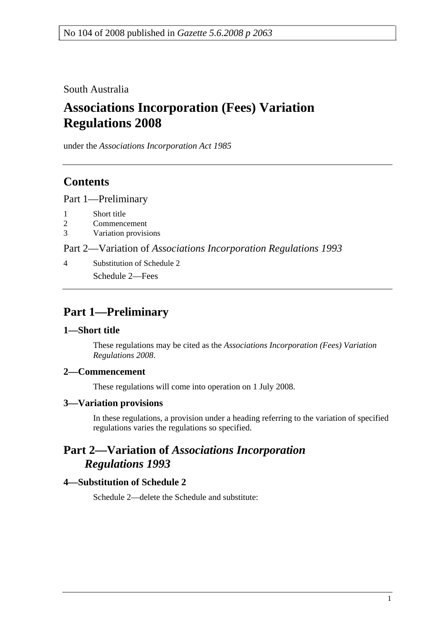South Australia

# **Associations Incorporation (Fees) Variation Regulations 2008**

under the *Associations Incorporation Act 1985*

## **Contents**

Part 1—Preliminary

- 1 Short title
- 2 Commencement
- 3 Variation provisions

Part 2—Variation of *Associations Incorporation Regulations 1993*

4 Substitution of Schedule 2 Schedule 2—Fees

## **Part 1—Preliminary**

## **1—Short title**

These regulations may be cited as the *Associations Incorporation (Fees) Variation Regulations 2008*.

## **2—Commencement**

These regulations will come into operation on 1 July 2008.

#### **3—Variation provisions**

In these regulations, a provision under a heading referring to the variation of specified regulations varies the regulations so specified.

## **Part 2—Variation of** *Associations Incorporation Regulations 1993*

## **4—Substitution of Schedule 2**

Schedule 2—delete the Schedule and substitute: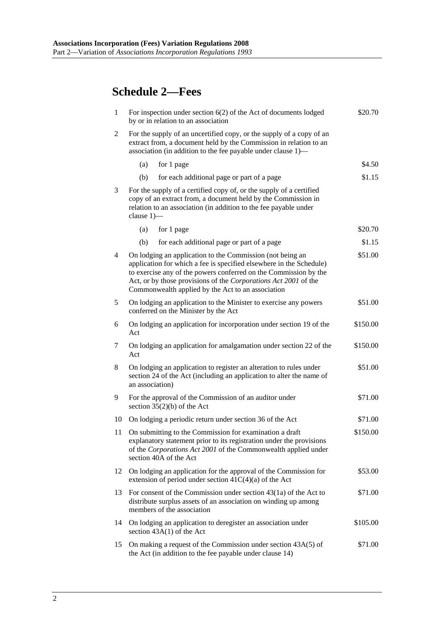# **Schedule 2—Fees**

| $\mathbf{1}$ | \$20.70<br>For inspection under section $6(2)$ of the Act of documents lodged<br>by or in relation to an association                                                                                                                                                                                                                    |          |  |  |
|--------------|-----------------------------------------------------------------------------------------------------------------------------------------------------------------------------------------------------------------------------------------------------------------------------------------------------------------------------------------|----------|--|--|
| 2            | For the supply of an uncertified copy, or the supply of a copy of an<br>extract from, a document held by the Commission in relation to an<br>association (in addition to the fee payable under clause 1)—                                                                                                                               |          |  |  |
|              | (a)<br>for 1 page                                                                                                                                                                                                                                                                                                                       | \$4.50   |  |  |
|              | for each additional page or part of a page<br>(b)                                                                                                                                                                                                                                                                                       | \$1.15   |  |  |
| 3            | For the supply of a certified copy of, or the supply of a certified<br>copy of an extract from, a document held by the Commission in<br>relation to an association (in addition to the fee payable under<br>clause $1$ ) $-$                                                                                                            |          |  |  |
|              | (a)<br>for 1 page                                                                                                                                                                                                                                                                                                                       | \$20.70  |  |  |
|              | for each additional page or part of a page<br>(b)                                                                                                                                                                                                                                                                                       | \$1.15   |  |  |
| 4            | On lodging an application to the Commission (not being an<br>\$51.00<br>application for which a fee is specified elsewhere in the Schedule)<br>to exercise any of the powers conferred on the Commission by the<br>Act, or by those provisions of the Corporations Act 2001 of the<br>Commonwealth applied by the Act to an association |          |  |  |
| 5            | On lodging an application to the Minister to exercise any powers<br>\$51.00<br>conferred on the Minister by the Act                                                                                                                                                                                                                     |          |  |  |
| 6            | \$150.00<br>On lodging an application for incorporation under section 19 of the<br>Act                                                                                                                                                                                                                                                  |          |  |  |
| 7            | On lodging an application for amalgamation under section 22 of the<br>\$150.00<br>Act                                                                                                                                                                                                                                                   |          |  |  |
| 8            | \$51.00<br>On lodging an application to register an alteration to rules under<br>section 24 of the Act (including an application to alter the name of<br>an association)                                                                                                                                                                |          |  |  |
| 9            | For the approval of the Commission of an auditor under<br>\$71.00<br>section $35(2)(b)$ of the Act                                                                                                                                                                                                                                      |          |  |  |
| 10           | On lodging a periodic return under section 36 of the Act                                                                                                                                                                                                                                                                                | \$71.00  |  |  |
| 11           | On submitting to the Commission for examination a draft<br>explanatory statement prior to its registration under the provisions<br>of the Corporations Act 2001 of the Commonwealth applied under<br>section 40A of the Act                                                                                                             | \$150.00 |  |  |
| 12           | On lodging an application for the approval of the Commission for<br>extension of period under section $41C(4)(a)$ of the Act                                                                                                                                                                                                            | \$53.00  |  |  |
| 13           | \$71.00<br>For consent of the Commission under section $43(1a)$ of the Act to<br>distribute surplus assets of an association on winding up among<br>members of the association                                                                                                                                                          |          |  |  |
| 14           | On lodging an application to deregister an association under<br>\$105.00<br>section $43A(1)$ of the Act                                                                                                                                                                                                                                 |          |  |  |
| 15           | On making a request of the Commission under section 43A(5) of<br>the Act (in addition to the fee payable under clause 14)                                                                                                                                                                                                               | \$71.00  |  |  |